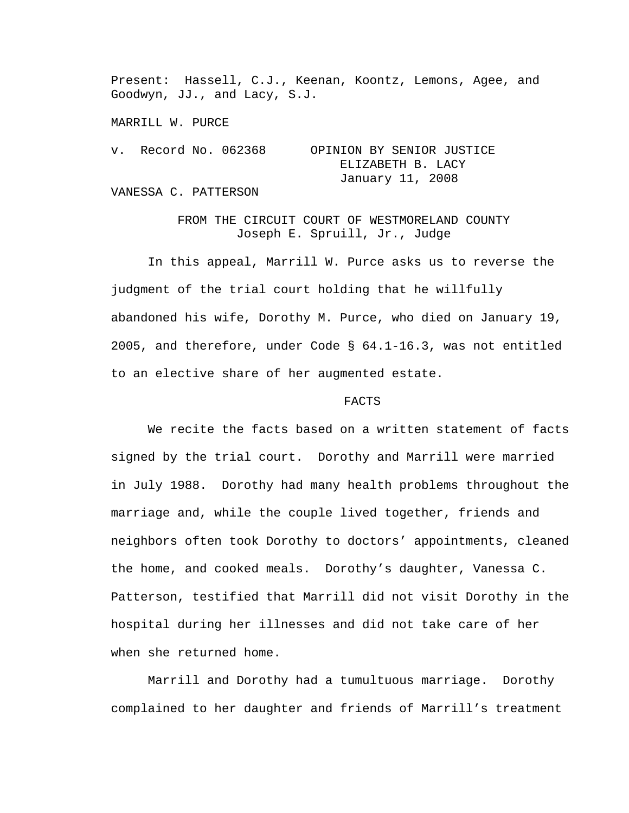Present: Hassell, C.J., Keenan, Koontz, Lemons, Agee, and Goodwyn, JJ., and Lacy, S.J.

MARRILL W. PURCE

```
v. Record No. 062368 OPINION BY SENIOR JUSTICE 
                    ELIZABETH B. LACY 
                    January 11, 2008
```
VANESSA C. PATTERSON

FROM THE CIRCUIT COURT OF WESTMORELAND COUNTY Joseph E. Spruill, Jr., Judge

In this appeal, Marrill W. Purce asks us to reverse the judgment of the trial court holding that he willfully abandoned his wife, Dorothy M. Purce, who died on January 19, 2005, and therefore, under Code § 64.1-16.3, was not entitled to an elective share of her augmented estate.

## FACTS

 We recite the facts based on a written statement of facts signed by the trial court. Dorothy and Marrill were married in July 1988. Dorothy had many health problems throughout the marriage and, while the couple lived together, friends and neighbors often took Dorothy to doctors' appointments, cleaned the home, and cooked meals. Dorothy's daughter, Vanessa C. Patterson, testified that Marrill did not visit Dorothy in the hospital during her illnesses and did not take care of her when she returned home.

Marrill and Dorothy had a tumultuous marriage. Dorothy complained to her daughter and friends of Marrill's treatment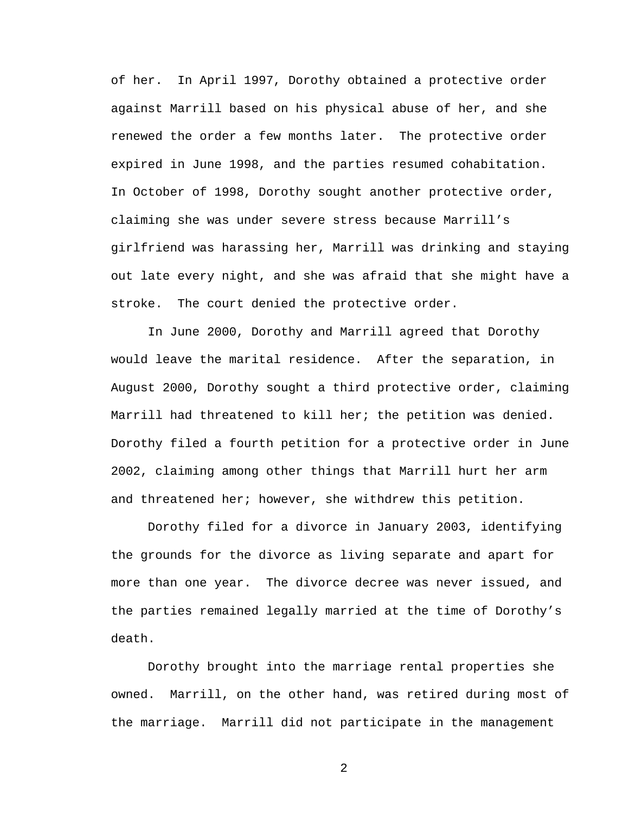of her. In April 1997, Dorothy obtained a protective order against Marrill based on his physical abuse of her, and she renewed the order a few months later. The protective order expired in June 1998, and the parties resumed cohabitation. In October of 1998, Dorothy sought another protective order, claiming she was under severe stress because Marrill's girlfriend was harassing her, Marrill was drinking and staying out late every night, and she was afraid that she might have a stroke. The court denied the protective order.

In June 2000, Dorothy and Marrill agreed that Dorothy would leave the marital residence. After the separation, in August 2000, Dorothy sought a third protective order, claiming Marrill had threatened to kill her; the petition was denied. Dorothy filed a fourth petition for a protective order in June 2002, claiming among other things that Marrill hurt her arm and threatened her; however, she withdrew this petition.

 Dorothy filed for a divorce in January 2003, identifying the grounds for the divorce as living separate and apart for more than one year. The divorce decree was never issued, and the parties remained legally married at the time of Dorothy's death.

 Dorothy brought into the marriage rental properties she owned. Marrill, on the other hand, was retired during most of the marriage. Marrill did not participate in the management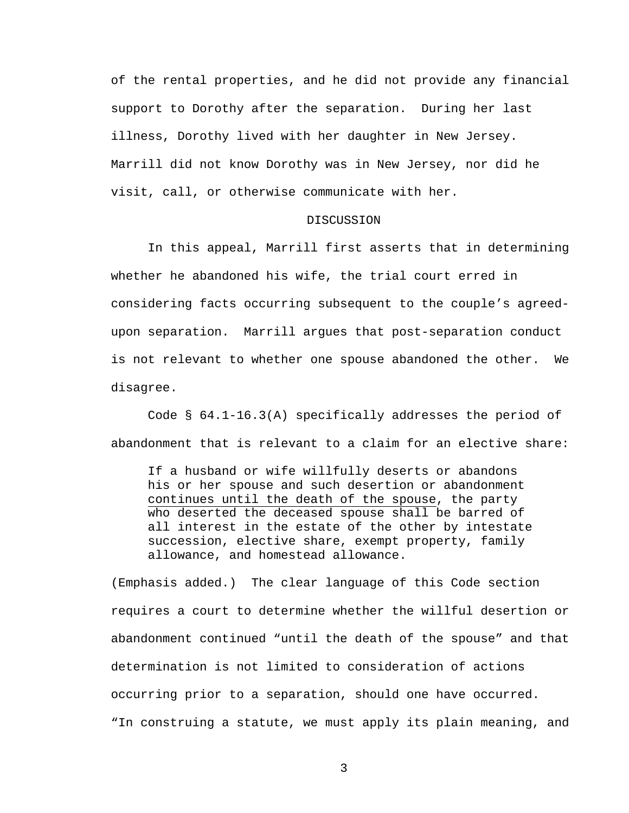of the rental properties, and he did not provide any financial support to Dorothy after the separation. During her last illness, Dorothy lived with her daughter in New Jersey. Marrill did not know Dorothy was in New Jersey, nor did he visit, call, or otherwise communicate with her.

## DISCUSSION

In this appeal, Marrill first asserts that in determining whether he abandoned his wife, the trial court erred in considering facts occurring subsequent to the couple's agreedupon separation. Marrill argues that post-separation conduct is not relevant to whether one spouse abandoned the other. We disagree.

Code § 64.1-16.3(A) specifically addresses the period of abandonment that is relevant to a claim for an elective share:

If a husband or wife willfully deserts or abandons his or her spouse and such desertion or abandonment continues until the death of the spouse, the party who deserted the deceased spouse shall be barred of all interest in the estate of the other by intestate succession, elective share, exempt property, family allowance, and homestead allowance.

(Emphasis added.) The clear language of this Code section requires a court to determine whether the willful desertion or abandonment continued "until the death of the spouse" and that determination is not limited to consideration of actions occurring prior to a separation, should one have occurred. "In construing a statute, we must apply its plain meaning, and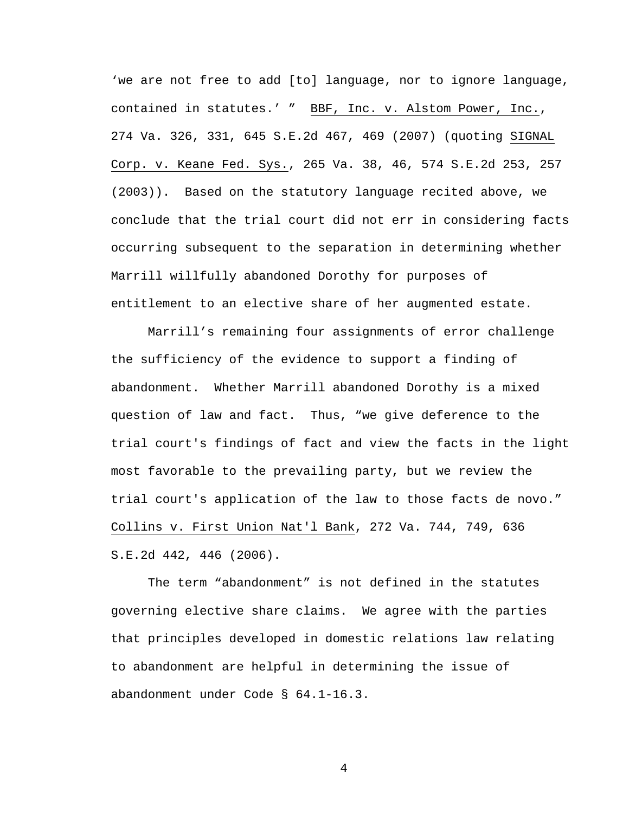'we are not free to add [to] language, nor to ignore language, contained in statutes.' " BBF, Inc. v. Alstom Power, Inc., 274 Va. 326, 331, 645 S.E.2d 467, 469 (2007) (quoting SIGNAL Corp. v. Keane Fed. Sys., 265 Va. 38, 46, 574 S.E.2d 253, 257 (2003)). Based on the statutory language recited above, we conclude that the trial court did not err in considering facts occurring subsequent to the separation in determining whether Marrill willfully abandoned Dorothy for purposes of entitlement to an elective share of her augmented estate.

 Marrill's remaining four assignments of error challenge the sufficiency of the evidence to support a finding of abandonment. Whether Marrill abandoned Dorothy is a mixed question of law and fact. Thus, "we give deference to the trial court's findings of fact and view the facts in the light most favorable to the prevailing party, but we review the trial court's application of the law to those facts de novo." Collins v. First Union Nat'l Bank, 272 Va. 744, 749, 636 S.E.2d 442, 446 (2006).

The term "abandonment" is not defined in the statutes governing elective share claims. We agree with the parties that principles developed in domestic relations law relating to abandonment are helpful in determining the issue of abandonment under Code § 64.1-16.3.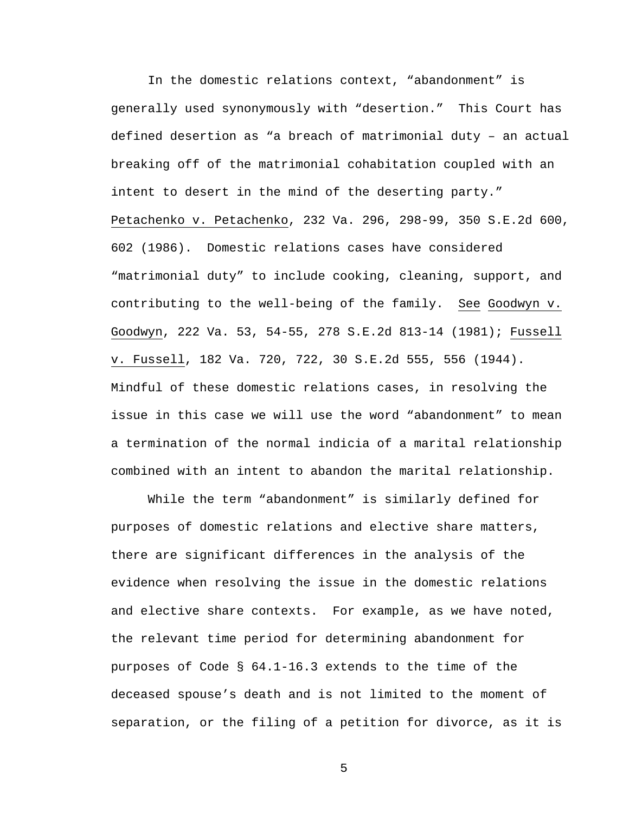In the domestic relations context, "abandonment" is generally used synonymously with "desertion." This Court has defined desertion as "a breach of matrimonial duty – an actual breaking off of the matrimonial cohabitation coupled with an intent to desert in the mind of the deserting party." Petachenko v. Petachenko, 232 Va. 296, 298-99, 350 S.E.2d 600, 602 (1986). Domestic relations cases have considered "matrimonial duty" to include cooking, cleaning, support, and contributing to the well-being of the family. See Goodwyn v. Goodwyn, 222 Va. 53, 54-55, 278 S.E.2d 813-14 (1981); Fussell v. Fussell, 182 Va. 720, 722, 30 S.E.2d 555, 556 (1944). Mindful of these domestic relations cases, in resolving the issue in this case we will use the word "abandonment" to mean a termination of the normal indicia of a marital relationship combined with an intent to abandon the marital relationship.

While the term "abandonment" is similarly defined for purposes of domestic relations and elective share matters, there are significant differences in the analysis of the evidence when resolving the issue in the domestic relations and elective share contexts. For example, as we have noted, the relevant time period for determining abandonment for purposes of Code § 64.1-16.3 extends to the time of the deceased spouse's death and is not limited to the moment of separation, or the filing of a petition for divorce, as it is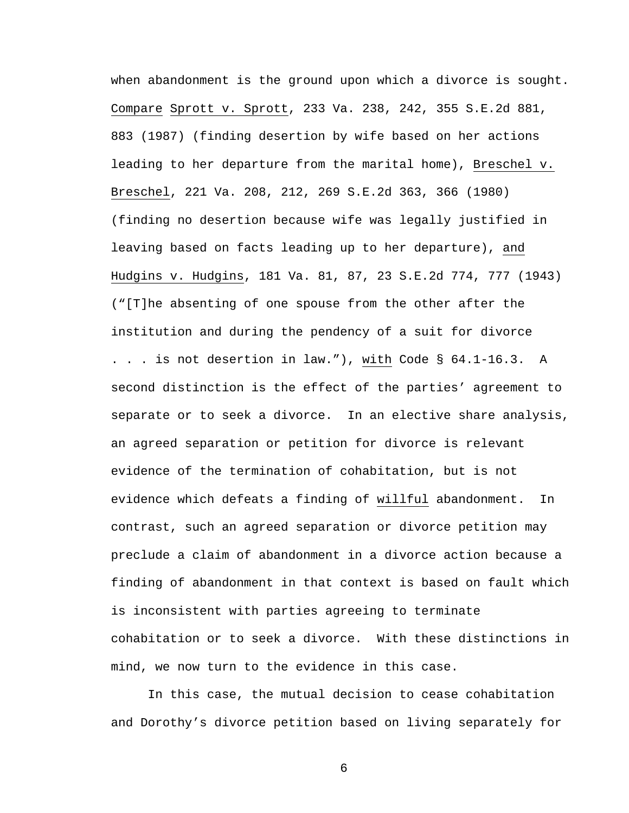when abandonment is the ground upon which a divorce is sought. Compare Sprott v. Sprott, 233 Va. 238, 242, 355 S.E.2d 881, 883 (1987) (finding desertion by wife based on her actions leading to her departure from the marital home), Breschel v. Breschel, 221 Va. 208, 212, 269 S.E.2d 363, 366 (1980) (finding no desertion because wife was legally justified in leaving based on facts leading up to her departure), and Hudgins v. Hudgins, 181 Va. 81, 87, 23 S.E.2d 774, 777 (1943) ("[T]he absenting of one spouse from the other after the institution and during the pendency of a suit for divorce . . . is not desertion in law."), with Code § 64.1-16.3. A second distinction is the effect of the parties' agreement to separate or to seek a divorce. In an elective share analysis, an agreed separation or petition for divorce is relevant evidence of the termination of cohabitation, but is not evidence which defeats a finding of willful abandonment. In contrast, such an agreed separation or divorce petition may preclude a claim of abandonment in a divorce action because a finding of abandonment in that context is based on fault which is inconsistent with parties agreeing to terminate cohabitation or to seek a divorce. With these distinctions in mind, we now turn to the evidence in this case.

In this case, the mutual decision to cease cohabitation and Dorothy's divorce petition based on living separately for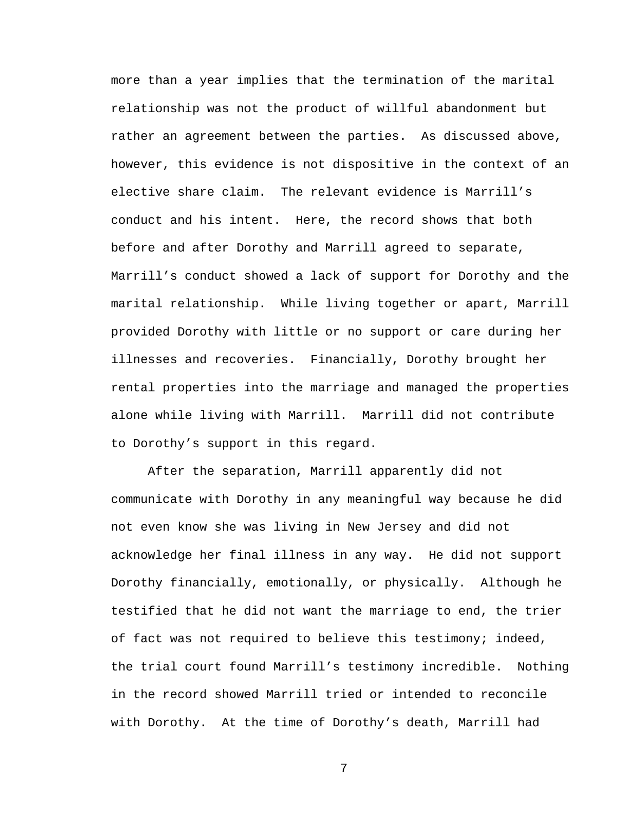more than a year implies that the termination of the marital relationship was not the product of willful abandonment but rather an agreement between the parties. As discussed above, however, this evidence is not dispositive in the context of an elective share claim. The relevant evidence is Marrill's conduct and his intent. Here, the record shows that both before and after Dorothy and Marrill agreed to separate, Marrill's conduct showed a lack of support for Dorothy and the marital relationship. While living together or apart, Marrill provided Dorothy with little or no support or care during her illnesses and recoveries. Financially, Dorothy brought her rental properties into the marriage and managed the properties alone while living with Marrill. Marrill did not contribute to Dorothy's support in this regard.

After the separation, Marrill apparently did not communicate with Dorothy in any meaningful way because he did not even know she was living in New Jersey and did not acknowledge her final illness in any way. He did not support Dorothy financially, emotionally, or physically. Although he testified that he did not want the marriage to end, the trier of fact was not required to believe this testimony; indeed, the trial court found Marrill's testimony incredible. Nothing in the record showed Marrill tried or intended to reconcile with Dorothy. At the time of Dorothy's death, Marrill had